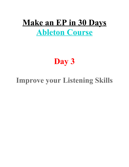# **Make an EP in 30 Days Ableton Course**

# **Day 3**

## **Improve your Listening Skills**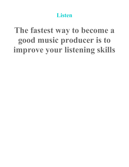**Listen**

# **The fastest way to become a good music producer is to improve your listening skills**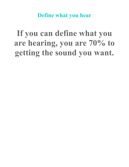**Define what you hear**

# **If you can define what you are hearing, you are 70% to getting the sound you want.**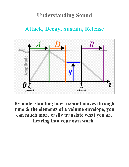## **Understanding Sound**

## **Attack, Decay, Sustain, Release**



**By understanding how a sound moves through time & the elements of a volume envelope, you can much more easily translate what you are hearing into your own work.**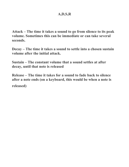**Attack – The time it takes a sound to go from silence to its peak volume. Sometimes this can be immediate or can take several seconds.**

**Decay – The time it takes a sound to settle into a chosen sustain volume after the initial attack.**

**Sustain – The constant volume that a sound settles at after decay, until that note is released**

**Release – The time it takes for a sound to fade back to silence after a note ends (on a keyboard, this would be when a note is released)**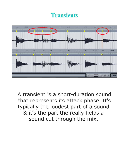## **Transients**



A transient is a short-duration sound that represents its attack phase. It's typically the loudest part of a sound & it's the part the really helps a sound cut through the mix.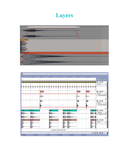## **Layers**



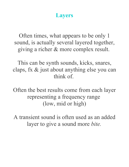### **Layers**

Often times, what appears to be only 1 sound, is actually several layered together, giving a richer & more complex result.

This can be synth sounds, kicks, snares, claps, fx & just about anything else you can think of.

Often the best results come from each layer representing a frequency range (low, mid or high)

A transient sound is often used as an added layer to give a sound more *bite.*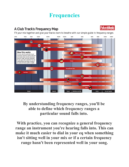## **Frequencies**

#### A Club Track's Frequency Map



Fit your mix together and give your tracks room to breathe with our simple guide to frequency ranges



#### **By understanding frequency ranges, you'll be able to define which frequency ranges a particular sound falls into.**

**With practice, you can recognize a general frequency range an instrument you're hearing falls into. This can make it much easier to dial in your eq when something isn't sitting well in your mix or if a certain frequency range hasn't been represented well in your song.**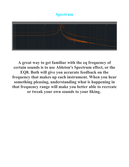#### **Spectrum**



**A great way to get familiar with the eq frequency of certain sounds is to use Ableton's Spectrum effect, or the EQ8. Both will give you accurate feedback on the frequency that makes up each instrument. When you hear something pleasing, understanding what is happening in that frequency range will make you better able to recreate or tweak your own sounds to your liking.**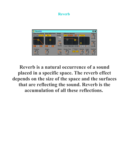#### **Reverb**



**Reverb is a natural occurrence of a sound placed in a specific space. The reverb effect depends on the size of the space and the surfaces that are reflecting the sound. Reverb is the accumulation of all these reflections.**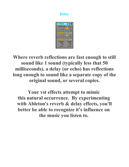#### **Delay**



**Where reverb reflections are fast enough to still sound like 1 sound (typically less that 50 milliseconds), a delay (or echo) has reflections long enough to sound like a separate copy of the original sound, or several copies.**

**Your vst effects attempt to mimic this natural occurrence. By experimenting with Ableton's reverb & delay effects, you'll better be able to recognize it's influence on the music you listen to.**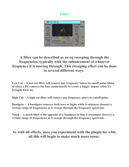#### **Filter**



#### **A filter can be described as an eq sweeping through the frequencies, typically with the enhancement of whatever frequency it is moving through. This sweeping effect can be done in several different ways.**

**Low Cut – A low cut filter will remove any frequency below its cutoff point (think of when a DJ removes the bass momentarily to create a bigger impact when it's brought back in).**

**High Cut – A high cut filter will remove any frequency above its cutoff point.**

**Bandpass - A bandpass removes both lows or highs while it enhances (boosts) a certain range of frequencies as it sweeps through the frequency spectrum.** 

**Notch - A notch filter is the opposite of a bandpass in that it attenuates (lowers) a certain range of frequencies as it sweeps through the frequency spectrum.** 

#### **As with all effects, once you experiment with the plugin for a bit, all this will begin to make much more sense.**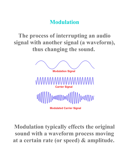## **Modulation**

**The process of interrupting an audio signal with another signal (a waveform), thus changing the sound.** 



**Modulated Carrier Signal** 

**Modulation typically effects the original sound with a waveform process moving at a certain rate (or speed) & amplitude.**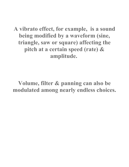**A vibrato effect, for example, is a sound being modified by a waveform (sine, triangle, saw or square) affecting the pitch at a certain speed (rate) & amplitude.** 

**Volume, filter & panning can also be modulated among nearly endless choices.**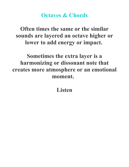### **Octaves & Chords**

**Often times the same or the similar sounds are layered an octave higher or lower to add energy or impact.** 

**Sometimes the extra layer is a harmonizing or dissonant note that creates more atmosphere or an emotional moment.** 

**Listen**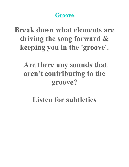## **Groove**

**Break down what elements are driving the song forward & keeping you in the 'groove'.**

## **Are there any sounds that aren't contributing to the groove?**

# **Listen for subtleties**